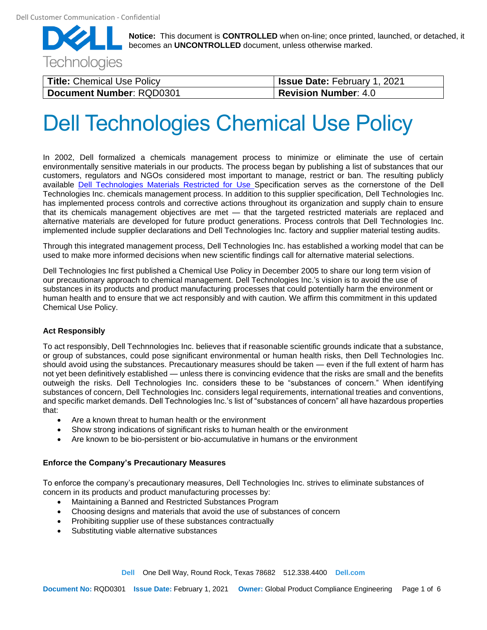

| Title: Chemical Use Policy | <b>Issue Date: February 1, 2021</b> |
|----------------------------|-------------------------------------|
| Document Number: RQD0301   | <b>Revision Number: 4.0</b>         |

# Dell Technologies Chemical Use Policy

In 2002, Dell formalized a chemicals management process to minimize or eliminate the use of certain environmentally sensitive materials in our products. The process began by publishing a list of substances that our customers, regulators and NGOs considered most important to manage, restrict or ban. The resulting publicly available Dell Technologies [Materials Restricted for Use](https://www.dell.com/restrictedsubstanceslist) Specification serves as the cornerstone of the Dell Technologies Inc. chemicals management process. In addition to this supplier specification, Dell Technologies Inc. has implemented process controls and corrective actions throughout its organization and supply chain to ensure that its chemicals management objectives are met — that the targeted restricted materials are replaced and alternative materials are developed for future product generations. Process controls that Dell Technologies Inc. implemented include supplier declarations and Dell Technologies Inc. factory and supplier material testing audits.

Through this integrated management process, Dell Technologies Inc. has established a working model that can be used to make more informed decisions when new scientific findings call for alternative material selections.

Dell Technologies Inc first published a Chemical Use Policy in December 2005 to share our long term vision of our precautionary approach to chemical management. Dell Technologies Inc.'s vision is to avoid the use of substances in its products and product manufacturing processes that could potentially harm the environment or human health and to ensure that we act responsibly and with caution. We affirm this commitment in this updated Chemical Use Policy.

#### **Act Responsibly**

To act responsibly, Dell Technnologies Inc. believes that if reasonable scientific grounds indicate that a substance, or group of substances, could pose significant environmental or human health risks, then Dell Technologies Inc. should avoid using the substances. Precautionary measures should be taken — even if the full extent of harm has not yet been definitively established — unless there is convincing evidence that the risks are small and the benefits outweigh the risks. Dell Technologies Inc. considers these to be "substances of concern." When identifying substances of concern, Dell Technologies Inc. considers legal requirements, international treaties and conventions, and specific market demands. Dell Technologies Inc.'s list of "substances of concern" all have hazardous properties that:

- Are a known threat to human health or the environment
- Show strong indications of significant risks to human health or the environment
- Are known to be bio-persistent or bio-accumulative in humans or the environment

#### **Enforce the Company's Precautionary Measures**

To enforce the company's precautionary measures, Dell Technologies Inc. strives to eliminate substances of concern in its products and product manufacturing processes by:

- Maintaining a Banned and Restricted Substances Program
- Choosing designs and materials that avoid the use of substances of concern
- Prohibiting supplier use of these substances contractually
- Substituting viable alternative substances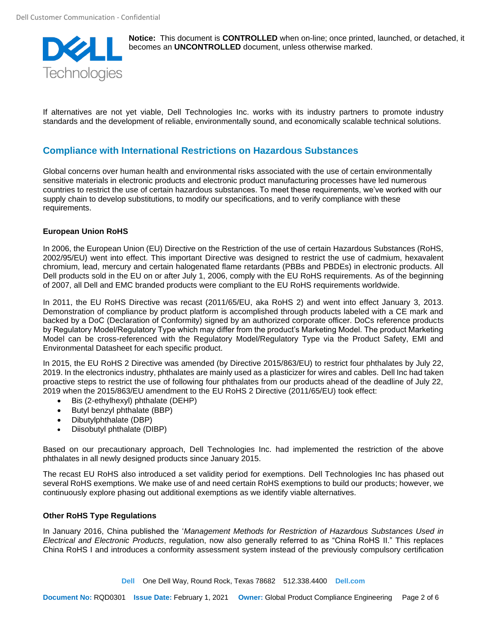

If alternatives are not yet viable, Dell Technologies Inc. works with its industry partners to promote industry standards and the development of reliable, environmentally sound, and economically scalable technical solutions.

## **Compliance with International Restrictions on Hazardous Substances**

Global concerns over human health and environmental risks associated with the use of certain environmentally sensitive materials in electronic products and electronic product manufacturing processes have led numerous countries to restrict the use of certain hazardous substances. To meet these requirements, we've worked with our supply chain to develop substitutions, to modify our specifications, and to verify compliance with these requirements.

#### **European Union RoHS**

In 2006, the European Union (EU) Directive on the Restriction of the use of certain Hazardous Substances (RoHS, 2002/95/EU) went into effect. This important Directive was designed to restrict the use of cadmium, hexavalent chromium, lead, mercury and certain halogenated flame retardants (PBBs and PBDEs) in electronic products. All Dell products sold in the EU on or after July 1, 2006, comply with the EU RoHS requirements. As of the beginning of 2007, all Dell and EMC branded products were compliant to the EU RoHS requirements worldwide.

In 2011, the EU RoHS Directive was recast (2011/65/EU, aka RoHS 2) and went into effect January 3, 2013. Demonstration of compliance by product platform is accomplished through products labeled with a CE mark and backed by a DoC (Declaration of Conformity) signed by an authorized corporate officer. DoCs reference products by Regulatory Model/Regulatory Type which may differ from the product's Marketing Model. The product Marketing Model can be cross-referenced with the Regulatory Model/Regulatory Type via the Product Safety, EMI and Environmental Datasheet for each specific product.

In 2015, the EU RoHS 2 Directive was amended (by Directive 2015/863/EU) to restrict four phthalates by July 22, 2019. In the electronics industry, phthalates are mainly used as a plasticizer for wires and cables. Dell Inc had taken proactive steps to restrict the use of following four phthalates from our products ahead of the deadline of July 22, 2019 when the 2015/863/EU amendment to the EU RoHS 2 Directive (2011/65/EU) took effect:

- Bis (2-ethylhexyl) phthalate (DEHP)
- Butyl benzyl phthalate (BBP)
- Dibutylphthalate (DBP)
- Diisobutyl phthalate (DIBP)

Based on our precautionary approach, Dell Technologies Inc. had implemented the restriction of the above phthalates in all newly designed products since January 2015.

The recast EU RoHS also introduced a set validity period for exemptions. Dell Technologies Inc has phased out several RoHS exemptions. We make use of and need certain RoHS exemptions to build our products; however, we continuously explore phasing out additional exemptions as we identify viable alternatives.

#### **Other RoHS Type Regulations**

In January 2016, China published the '*Management Methods for Restriction of Hazardous Substances Used in Electrical and Electronic Products*, regulation, now also generally referred to as "China RoHS II." This replaces China RoHS I and introduces a conformity assessment system instead of the previously compulsory certification

**Dell** One Dell Way, Round Rock, Texas 78682 512.338.4400 **Dell.com**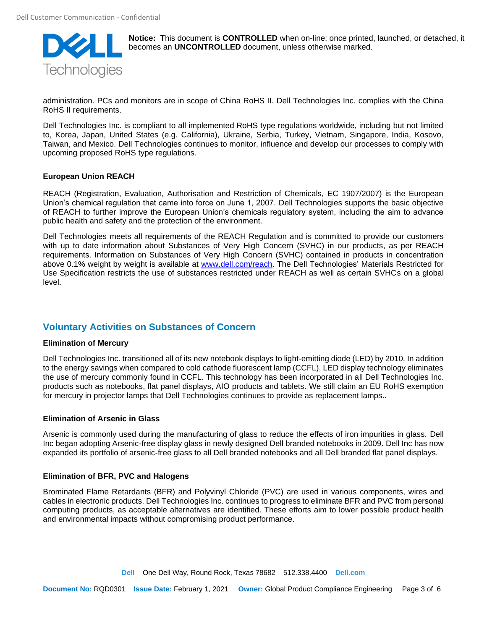

administration. PCs and monitors are in scope of China RoHS II. Dell Technologies Inc. complies with the China RoHS II requirements.

Dell Technologies Inc. is compliant to all implemented RoHS type regulations worldwide, including but not limited to, Korea, Japan, United States (e.g. California), Ukraine, Serbia, Turkey, Vietnam, Singapore, India, Kosovo, Taiwan, and Mexico. Dell Technologies continues to monitor, influence and develop our processes to comply with upcoming proposed RoHS type regulations.

#### **European Union REACH**

REACH (Registration, Evaluation, Authorisation and Restriction of Chemicals, EC 1907/2007) is the European Union's chemical regulation that came into force on June 1, 2007. Dell Technologies supports the basic objective of REACH to further improve the European Union's chemicals regulatory system, including the aim to advance public health and safety and the protection of the environment.

Dell Technologies meets all requirements of the REACH Regulation and is committed to provide our customers with up to date information about Substances of Very High Concern (SVHC) in our products, as per REACH requirements. Information on Substances of Very High Concern (SVHC) contained in products in concentration above 0.1% weight by weight is available at [www.dell.com/reach.](http://www.dell.com/reach) The Dell Technologies' [Materials Restricted for](http://i.dell.com/sites/doccontent/shared-content/solutions/en/Documents/ENV0424-A02.pdf)  [Use](http://i.dell.com/sites/doccontent/shared-content/solutions/en/Documents/ENV0424-A02.pdf) Specification restricts the use of substances restricted under REACH as well as certain SVHCs on a global level.

# **Voluntary Activities on Substances of Concern**

#### **Elimination of Mercury**

Dell Technologies Inc. transitioned all of its new notebook displays to light-emitting diode (LED) by 2010. In addition to the energy savings when compared to cold cathode fluorescent lamp (CCFL), LED display technology eliminates the use of mercury commonly found in CCFL. This technology has been incorporated in all Dell Technologies Inc. products such as notebooks, flat panel displays, AIO products and tablets. We still claim an EU RoHS exemption for mercury in projector lamps that Dell Technologies continues to provide as replacement lamps..

#### **Elimination of Arsenic in Glass**

Arsenic is commonly used during the manufacturing of glass to reduce the effects of iron impurities in glass. Dell Inc began adopting Arsenic-free display glass in newly designed Dell branded notebooks in 2009. Dell Inc has now expanded its portfolio of arsenic-free glass to all Dell branded notebooks and all Dell branded flat panel displays.

#### **Elimination of BFR, PVC and Halogens**

Brominated Flame Retardants (BFR) and Polyvinyl Chloride (PVC) are used in various components, wires and cables in electronic products. Dell Technologies Inc. continues to progress to eliminate BFR and PVC from personal computing products, as acceptable alternatives are identified. These efforts aim to lower possible product health and environmental impacts without compromising product performance.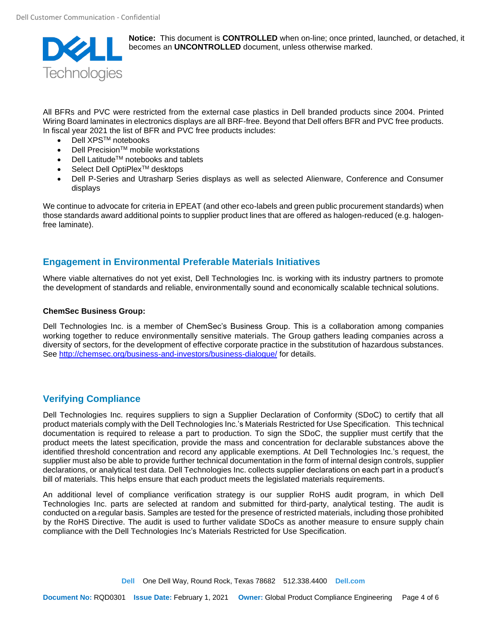

All BFRs and PVC were restricted from the external case plastics in Dell branded products since 2004. Printed Wiring Board laminates in electronics displays are all BRF-free. Beyond that Dell offers BFR and PVC free products. In fiscal year 2021 the list of BFR and PVC free products includes:

- Dell XPSTM notebooks
- **Dell Precision™ mobile workstations**
- **Dell Latitude™ notebooks and tablets**
- Select Dell OptiPlex<sup>™</sup> desktops
- Dell P-Series and Utrasharp Series displays as well as selected Alienware, Conference and Consumer displays

We continue to advocate for criteria in EPEAT (and other eco-labels and green public procurement standards) when those standards award additional points to supplier product lines that are offered as halogen-reduced (e.g. halogenfree laminate).

### **Engagement in Environmental Preferable Materials Initiatives**

Where viable alternatives do not yet exist, Dell Technologies Inc. is working with its industry partners to promote the development of standards and reliable, environmentally sound and economically scalable technical solutions.

#### **ChemSec Business Group:**

Dell Technologies Inc. is a member of ChemSec's Business Group. This is a collaboration among companies working together to reduce environmentally sensitive materials. The Group gathers leading companies across a diversity of sectors, for the development of effective corporate practice in the substitution of hazardous substances. See<http://chemsec.org/business-and-investors/business-dialogue/> for details.

# **Verifying Compliance**

Dell Technologies Inc. requires suppliers to sign a Supplier Declaration of Conformity (SDoC) to certify that all product materials comply with the Dell Technologies Inc.'s Materials Restricted for Use Specification. This technical documentation is required to release a part to production. To sign the SDoC, the supplier must certify that the product meets the latest specification, provide the mass and concentration for declarable substances above the identified threshold concentration and record any applicable exemptions. At Dell Technologies Inc.'s request, the supplier must also be able to provide further technical documentation in the form of internal design controls, supplier declarations, or analytical test data. Dell Technologies Inc. collects supplier declarations on each part in a product's bill of materials. This helps ensure that each product meets the legislated materials requirements.

An additional level of compliance verification strategy is our supplier RoHS audit program, in which Dell Technologies Inc. parts are selected at random and submitted for third-party, analytical testing. The audit is conducted on a regular basis. Samples are tested for the presence of restricted materials, including those prohibited by the RoHS Directive. The audit is used to further validate SDoCs as another measure to ensure supply chain compliance with the Dell Technologies Inc's Materials Restricted for Use Specification.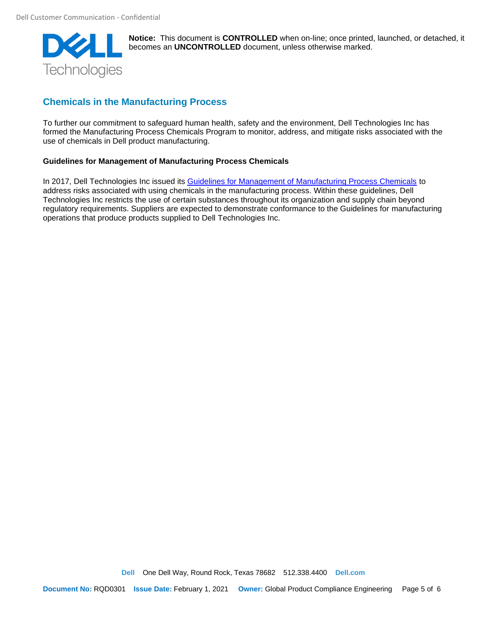

# **Chemicals in the Manufacturing Process**

To further our commitment to safeguard human health, safety and the environment, Dell Technologies Inc has formed the Manufacturing Process Chemicals Program to monitor, address, and mitigate risks associated with the use of chemicals in Dell product manufacturing.

#### **Guidelines for Management of Manufacturing Process Chemicals**

In 2017, Dell Technologies Inc issued its [Guidelines for Management of Manufacturing Process Chemicals](https://i.dell.com/sites/doccontent/corporate/corp-comm/en/Documents/guidelines-chemicals.pdf?newtab=true) to address risks associated with using chemicals in the manufacturing process. Within these guidelines, Dell Technologies Inc restricts the use of certain substances throughout its organization and supply chain beyond regulatory requirements. Suppliers are expected to demonstrate conformance to the Guidelines for manufacturing operations that produce products supplied to Dell Technologies Inc.